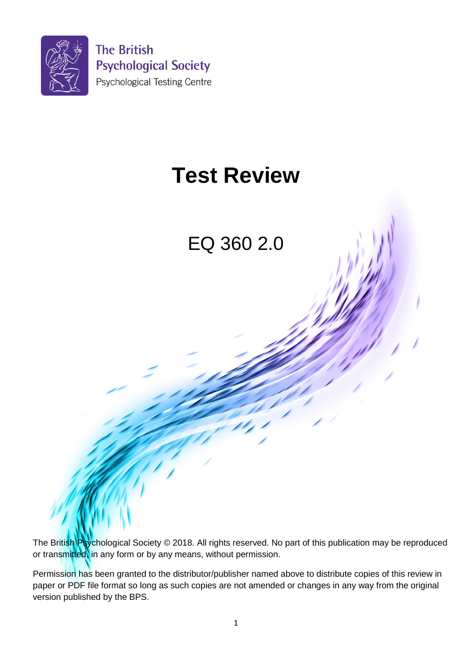

# **Test Review**

EQ 360 2.0

The British Psychological Society © 2018. All rights reserved. No part of this publication may be reproduced or transmitted, in any form or by any means, without permission.

Permission has been granted to the distributor/publisher named above to distribute copies of this review in paper or PDF file format so long as such copies are not amended or changes in any way from the original version published by the BPS.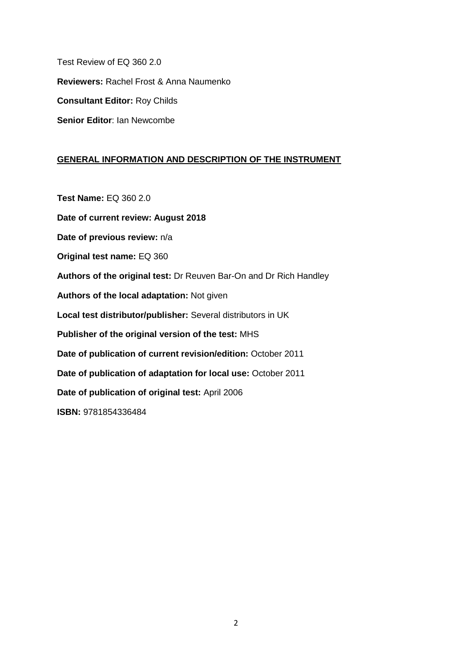Test Review of EQ 360 2.0 **Reviewers:** Rachel Frost & Anna Naumenko **Consultant Editor:** Roy Childs **Senior Editor**: Ian Newcombe

## **GENERAL INFORMATION AND DESCRIPTION OF THE INSTRUMENT**

**Test Name:** EQ 360 2.0

**Date of current review: August 2018** 

**Date of previous review:** n/a

**Original test name:** EQ 360

**Authors of the original test:** Dr Reuven Bar-On and Dr Rich Handley

**Authors of the local adaptation:** Not given

**Local test distributor/publisher:** Several distributors in UK

**Publisher of the original version of the test:** MHS

**Date of publication of current revision/edition:** October 2011

**Date of publication of adaptation for local use:** October 2011

**Date of publication of original test:** April 2006

**ISBN:** 9781854336484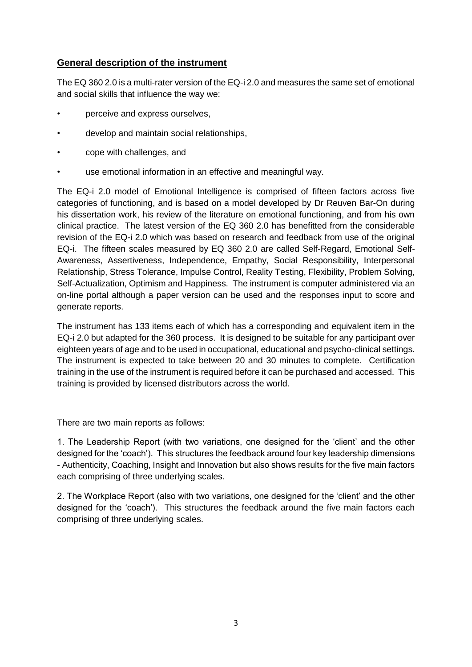## **General description of the instrument**

The EQ 360 2.0 is a multi-rater version of the EQ-i 2.0 and measures the same set of emotional and social skills that influence the way we:

- perceive and express ourselves,
- develop and maintain social relationships,
- cope with challenges, and
- use emotional information in an effective and meaningful way.

The EQ-i 2.0 model of Emotional Intelligence is comprised of fifteen factors across five categories of functioning, and is based on a model developed by Dr Reuven Bar-On during his dissertation work, his review of the literature on emotional functioning, and from his own clinical practice. The latest version of the EQ 360 2.0 has benefitted from the considerable revision of the EQ-i 2.0 which was based on research and feedback from use of the original EQ-i. The fifteen scales measured by EQ 360 2.0 are called Self-Regard, Emotional Self-Awareness, Assertiveness, Independence, Empathy, Social Responsibility, Interpersonal Relationship, Stress Tolerance, Impulse Control, Reality Testing, Flexibility, Problem Solving, Self-Actualization, Optimism and Happiness. The instrument is computer administered via an on-line portal although a paper version can be used and the responses input to score and generate reports.

The instrument has 133 items each of which has a corresponding and equivalent item in the EQ-i 2.0 but adapted for the 360 process. It is designed to be suitable for any participant over eighteen years of age and to be used in occupational, educational and psycho-clinical settings. The instrument is expected to take between 20 and 30 minutes to complete. Certification training in the use of the instrument is required before it can be purchased and accessed. This training is provided by licensed distributors across the world.

There are two main reports as follows:

1. The Leadership Report (with two variations, one designed for the 'client' and the other designed for the 'coach'). This structures the feedback around four key leadership dimensions - Authenticity, Coaching, Insight and Innovation but also shows results for the five main factors each comprising of three underlying scales.

2. The Workplace Report (also with two variations, one designed for the 'client' and the other designed for the 'coach'). This structures the feedback around the five main factors each comprising of three underlying scales.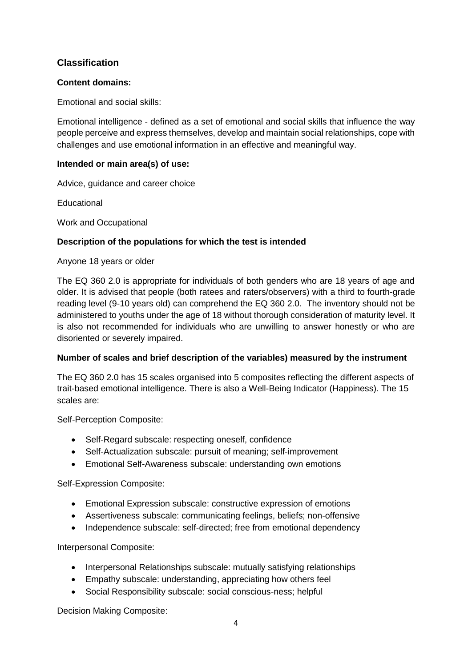## **Classification**

## **Content domains:**

Emotional and social skills:

Emotional intelligence - defined as a set of emotional and social skills that influence the way people perceive and express themselves, develop and maintain social relationships, cope with challenges and use emotional information in an effective and meaningful way.

## **Intended or main area(s) of use:**

Advice, guidance and career choice

**Educational** 

Work and Occupational

## **Description of the populations for which the test is intended**

Anyone 18 years or older

The EQ 360 2.0 is appropriate for individuals of both genders who are 18 years of age and older. It is advised that people (both ratees and raters/observers) with a third to fourth-grade reading level (9-10 years old) can comprehend the EQ 360 2.0. The inventory should not be administered to youths under the age of 18 without thorough consideration of maturity level. It is also not recommended for individuals who are unwilling to answer honestly or who are disoriented or severely impaired.

## **Number of scales and brief description of the variables) measured by the instrument**

The EQ 360 2.0 has 15 scales organised into 5 composites reflecting the different aspects of trait-based emotional intelligence. There is also a Well-Being Indicator (Happiness). The 15 scales are:

Self-Perception Composite:

- Self-Regard subscale: respecting oneself, confidence
- Self-Actualization subscale: pursuit of meaning; self-improvement
- Emotional Self-Awareness subscale: understanding own emotions

Self-Expression Composite:

- Emotional Expression subscale: constructive expression of emotions
- Assertiveness subscale: communicating feelings, beliefs; non-offensive
- Independence subscale: self-directed; free from emotional dependency

Interpersonal Composite:

- Interpersonal Relationships subscale: mutually satisfying relationships
- Empathy subscale: understanding, appreciating how others feel
- Social Responsibility subscale: social conscious-ness; helpful

Decision Making Composite: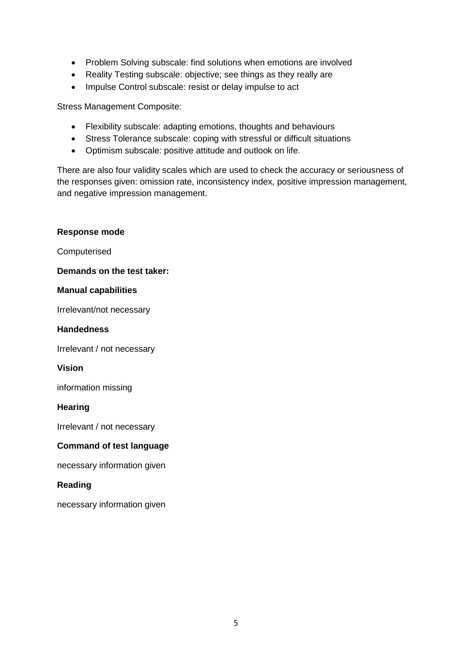- Problem Solving subscale: find solutions when emotions are involved
- Reality Testing subscale: objective; see things as they really are
- Impulse Control subscale: resist or delay impulse to act

Stress Management Composite:

- Flexibility subscale: adapting emotions, thoughts and behaviours
- Stress Tolerance subscale: coping with stressful or difficult situations
- Optimism subscale: positive attitude and outlook on life.

There are also four validity scales which are used to check the accuracy or seriousness of the responses given: omission rate, inconsistency index, positive impression management, and negative impression management.

## **Response mode** Computerised **Demands on the test taker: Manual capabilities** Irrelevant/not necessary **Handedness** Irrelevant / not necessary **Vision** information missing **Hearing** Irrelevant / not necessary **Command of test language** necessary information given

#### **Reading**

necessary information given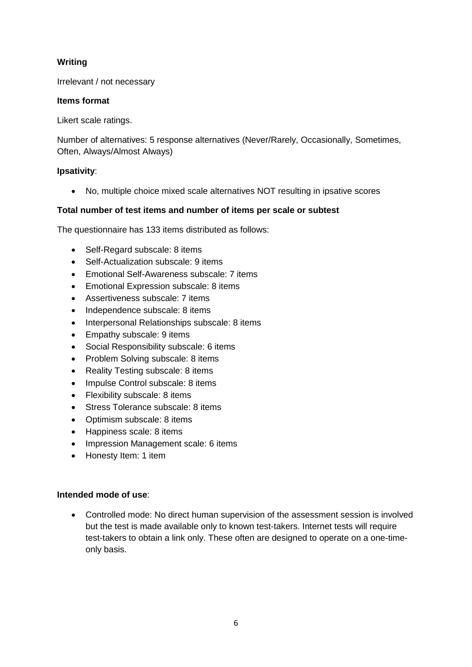## **Writing**

Irrelevant / not necessary

## **Items format**

Likert scale ratings.

Number of alternatives: 5 response alternatives (Never/Rarely, Occasionally, Sometimes, Often, Always/Almost Always)

## **Ipsativity**:

No, multiple choice mixed scale alternatives NOT resulting in ipsative scores

## **Total number of test items and number of items per scale or subtest**

The questionnaire has 133 items distributed as follows:

- Self-Regard subscale: 8 items
- Self-Actualization subscale: 9 items
- Emotional Self-Awareness subscale: 7 items
- **Emotional Expression subscale: 8 items**
- Assertiveness subscale: 7 items
- Independence subscale: 8 items
- Interpersonal Relationships subscale: 8 items
- Empathy subscale: 9 items
- Social Responsibility subscale: 6 items
- Problem Solving subscale: 8 items
- Reality Testing subscale: 8 items
- Impulse Control subscale: 8 items
- Flexibility subscale: 8 items
- Stress Tolerance subscale: 8 items
- Optimism subscale: 8 items
- Happiness scale: 8 items
- Impression Management scale: 6 items
- Honesty Item: 1 item

#### **Intended mode of use**:

 Controlled mode: No direct human supervision of the assessment session is involved but the test is made available only to known test-takers. Internet tests will require test-takers to obtain a link only. These often are designed to operate on a one-timeonly basis.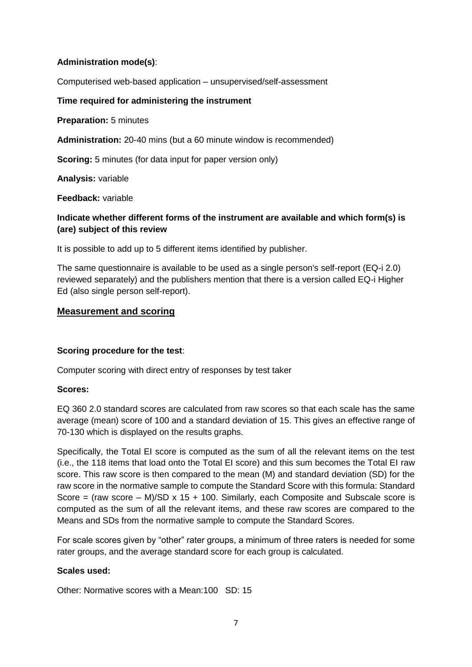## **Administration mode(s)**:

Computerised web-based application – unsupervised/self-assessment

## **Time required for administering the instrument**

**Preparation:** 5 minutes

**Administration:** 20-40 mins (but a 60 minute window is recommended)

**Scoring:** 5 minutes (for data input for paper version only)

**Analysis:** variable

**Feedback:** variable

## **Indicate whether different forms of the instrument are available and which form(s) is (are) subject of this review**

It is possible to add up to 5 different items identified by publisher.

The same questionnaire is available to be used as a single person's self-report (EQ-i 2.0) reviewed separately) and the publishers mention that there is a version called EQ-i Higher Ed (also single person self-report).

## **Measurement and scoring**

## **Scoring procedure for the test**:

Computer scoring with direct entry of responses by test taker

#### **Scores:**

EQ 360 2.0 standard scores are calculated from raw scores so that each scale has the same average (mean) score of 100 and a standard deviation of 15. This gives an effective range of 70-130 which is displayed on the results graphs.

Specifically, the Total EI score is computed as the sum of all the relevant items on the test (i.e., the 118 items that load onto the Total EI score) and this sum becomes the Total EI raw score. This raw score is then compared to the mean (M) and standard deviation (SD) for the raw score in the normative sample to compute the Standard Score with this formula: Standard Score = (raw score  $-$  M)/SD x 15 + 100. Similarly, each Composite and Subscale score is computed as the sum of all the relevant items, and these raw scores are compared to the Means and SDs from the normative sample to compute the Standard Scores.

For scale scores given by "other" rater groups, a minimum of three raters is needed for some rater groups, and the average standard score for each group is calculated.

#### **Scales used:**

Other: Normative scores with a Mean:100 SD: 15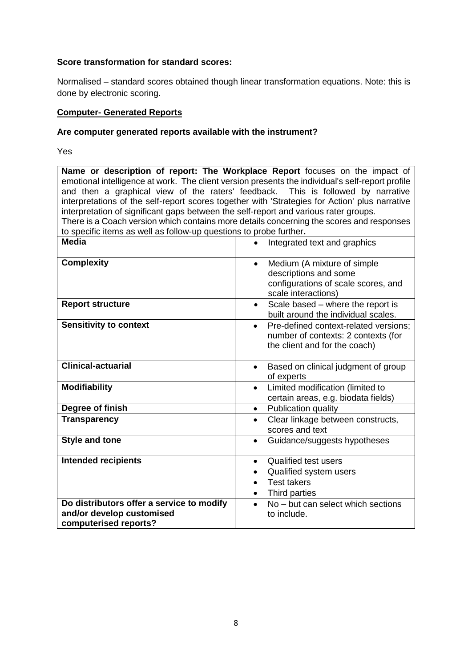#### **Score transformation for standard scores:**

Normalised – standard scores obtained though linear transformation equations. Note: this is done by electronic scoring.

#### **Computer- Generated Reports**

#### **Are computer generated reports available with the instrument?**

Yes

**Name or description of report: The Workplace Report** focuses on the impact of emotional intelligence at work. The client version presents the individual's self-report profile and then a graphical view of the raters' feedback. This is followed by narrative interpretations of the self-report scores together with 'Strategies for Action' plus narrative interpretation of significant gaps between the self-report and various rater groups. There is a Coach version which contains more details concerning the scores and responses to specific items as well as follow-up questions to probe further**.**

| Media                                     | Integrated text and graphics<br>$\bullet$          |
|-------------------------------------------|----------------------------------------------------|
| <b>Complexity</b>                         | Medium (A mixture of simple<br>$\bullet$           |
|                                           | descriptions and some                              |
|                                           | configurations of scale scores, and                |
|                                           | scale interactions)                                |
| <b>Report structure</b>                   | Scale based - where the report is<br>$\bullet$     |
|                                           | built around the individual scales.                |
| <b>Sensitivity to context</b>             | Pre-defined context-related versions;<br>$\bullet$ |
|                                           | number of contexts: 2 contexts (for                |
|                                           | the client and for the coach)                      |
|                                           |                                                    |
| <b>Clinical-actuarial</b>                 | Based on clinical judgment of group<br>$\bullet$   |
|                                           | of experts                                         |
| <b>Modifiability</b>                      | Limited modification (limited to                   |
|                                           | certain areas, e.g. biodata fields)                |
| Degree of finish                          | Publication quality<br>$\bullet$                   |
| <b>Transparency</b>                       | Clear linkage between constructs,<br>$\bullet$     |
|                                           | scores and text                                    |
| <b>Style and tone</b>                     | Guidance/suggests hypotheses<br>$\bullet$          |
|                                           |                                                    |
| <b>Intended recipients</b>                | <b>Qualified test users</b><br>$\bullet$           |
|                                           | Qualified system users                             |
|                                           | <b>Test takers</b>                                 |
|                                           | Third parties                                      |
| Do distributors offer a service to modify | No - but can select which sections<br>$\bullet$    |
| and/or develop customised                 | to include.                                        |
| computerised reports?                     |                                                    |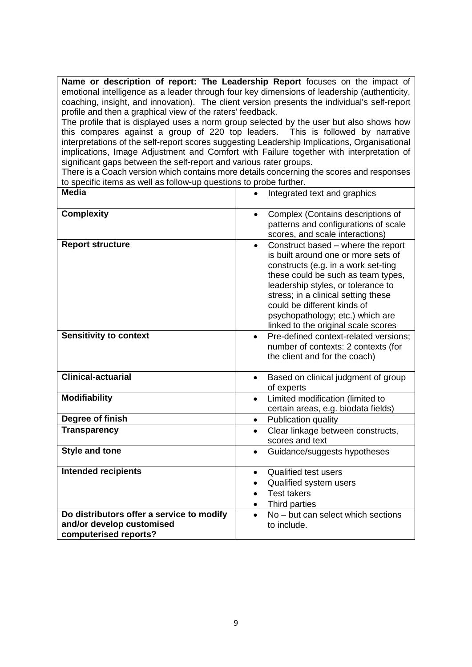**Name or description of report: The Leadership Report** focuses on the impact of emotional intelligence as a leader through four key dimensions of leadership (authenticity, coaching, insight, and innovation). The client version presents the individual's self-report profile and then a graphical view of the raters' feedback.

The profile that is displayed uses a norm group selected by the user but also shows how this compares against a group of 220 top leaders. This is followed by narrative interpretations of the self-report scores suggesting Leadership Implications, Organisational implications, Image Adjustment and Comfort with Failure together with interpretation of significant gaps between the self-report and various rater groups.

There is a Coach version which contains more details concerning the scores and responses to specific items as well as follow-up questions to probe further.

| <b>Media</b>                                                                                    | Integrated text and graphics                                                                                                                                                                                                                                                                                                                               |
|-------------------------------------------------------------------------------------------------|------------------------------------------------------------------------------------------------------------------------------------------------------------------------------------------------------------------------------------------------------------------------------------------------------------------------------------------------------------|
| <b>Complexity</b>                                                                               | Complex (Contains descriptions of<br>patterns and configurations of scale<br>scores, and scale interactions)                                                                                                                                                                                                                                               |
| <b>Report structure</b>                                                                         | Construct based - where the report<br>$\bullet$<br>is built around one or more sets of<br>constructs (e.g. in a work set-ting<br>these could be such as team types,<br>leadership styles, or tolerance to<br>stress; in a clinical setting these<br>could be different kinds of<br>psychopathology; etc.) which are<br>linked to the original scale scores |
| <b>Sensitivity to context</b>                                                                   | Pre-defined context-related versions;<br>$\bullet$<br>number of contexts: 2 contexts (for<br>the client and for the coach)                                                                                                                                                                                                                                 |
| <b>Clinical-actuarial</b>                                                                       | Based on clinical judgment of group<br>$\bullet$<br>of experts                                                                                                                                                                                                                                                                                             |
| <b>Modifiability</b>                                                                            | Limited modification (limited to<br>$\bullet$<br>certain areas, e.g. biodata fields)                                                                                                                                                                                                                                                                       |
| Degree of finish                                                                                | Publication quality<br>$\bullet$                                                                                                                                                                                                                                                                                                                           |
| <b>Transparency</b>                                                                             | Clear linkage between constructs,<br>$\bullet$<br>scores and text                                                                                                                                                                                                                                                                                          |
| <b>Style and tone</b>                                                                           | Guidance/suggests hypotheses<br>$\bullet$                                                                                                                                                                                                                                                                                                                  |
| <b>Intended recipients</b>                                                                      | <b>Qualified test users</b><br>$\bullet$<br>Qualified system users<br>$\bullet$<br><b>Test takers</b><br>$\bullet$<br>Third parties<br>$\bullet$                                                                                                                                                                                                           |
| Do distributors offer a service to modify<br>and/or develop customised<br>computerised reports? | No – but can select which sections<br>$\bullet$<br>to include.                                                                                                                                                                                                                                                                                             |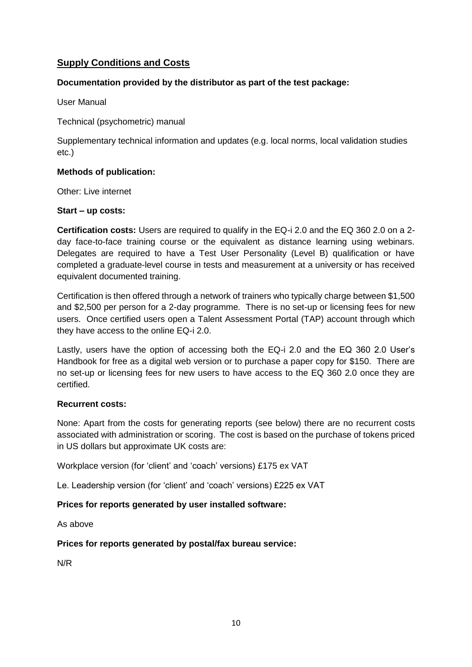## **Supply Conditions and Costs**

## **Documentation provided by the distributor as part of the test package:**

User Manual

Technical (psychometric) manual

Supplementary technical information and updates (e.g. local norms, local validation studies etc.)

#### **Methods of publication:**

Other: Live internet

#### **Start – up costs:**

**Certification costs:** Users are required to qualify in the EQ-i 2.0 and the EQ 360 2.0 on a 2 day face-to-face training course or the equivalent as distance learning using webinars. Delegates are required to have a Test User Personality (Level B) qualification or have completed a graduate-level course in tests and measurement at a university or has received equivalent documented training.

Certification is then offered through a network of trainers who typically charge between \$1,500 and \$2,500 per person for a 2-day programme. There is no set-up or licensing fees for new users. Once certified users open a Talent Assessment Portal (TAP) account through which they have access to the online EQ-i 2.0.

Lastly, users have the option of accessing both the EQ-i 2.0 and the EQ 360 2.0 User's Handbook for free as a digital web version or to purchase a paper copy for \$150. There are no set-up or licensing fees for new users to have access to the EQ 360 2.0 once they are certified.

#### **Recurrent costs:**

None: Apart from the costs for generating reports (see below) there are no recurrent costs associated with administration or scoring. The cost is based on the purchase of tokens priced in US dollars but approximate UK costs are:

Workplace version (for 'client' and 'coach' versions) £175 ex VAT

Le. Leadership version (for 'client' and 'coach' versions) £225 ex VAT

## **Prices for reports generated by user installed software:**

As above

#### **Prices for reports generated by postal/fax bureau service:**

N/R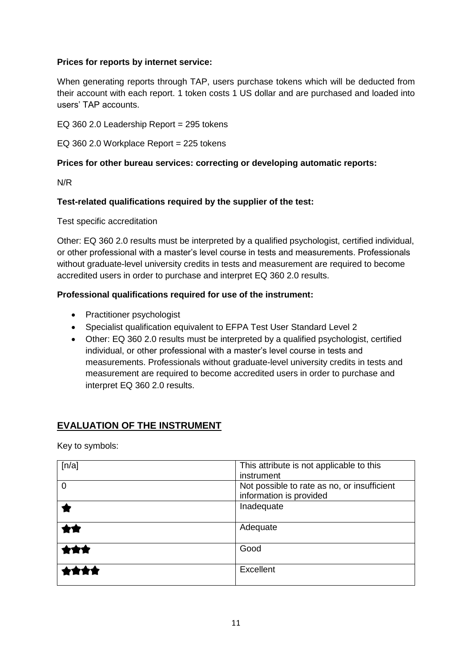## **Prices for reports by internet service:**

When generating reports through TAP, users purchase tokens which will be deducted from their account with each report. 1 token costs 1 US dollar and are purchased and loaded into users' TAP accounts.

EQ 360 2.0 Leadership Report = 295 tokens

EQ 360 2.0 Workplace Report = 225 tokens

## **Prices for other bureau services: correcting or developing automatic reports:**

N/R

## **Test-related qualifications required by the supplier of the test:**

Test specific accreditation

Other: EQ 360 2.0 results must be interpreted by a qualified psychologist, certified individual, or other professional with a master's level course in tests and measurements. Professionals without graduate-level university credits in tests and measurement are required to become accredited users in order to purchase and interpret EQ 360 2.0 results.

## **Professional qualifications required for use of the instrument:**

- Practitioner psychologist
- Specialist qualification equivalent to EFPA Test User Standard Level 2
- Other: EQ 360 2.0 results must be interpreted by a qualified psychologist, certified individual, or other professional with a master's level course in tests and measurements. Professionals without graduate-level university credits in tests and measurement are required to become accredited users in order to purchase and interpret EQ 360 2.0 results.

## **EVALUATION OF THE INSTRUMENT**

Key to symbols:

| [n/a]          | This attribute is not applicable to this<br>instrument                 |
|----------------|------------------------------------------------------------------------|
| $\overline{0}$ | Not possible to rate as no, or insufficient<br>information is provided |
|                | Inadequate                                                             |
|                | Adequate                                                               |
|                | Good                                                                   |
|                | Excellent                                                              |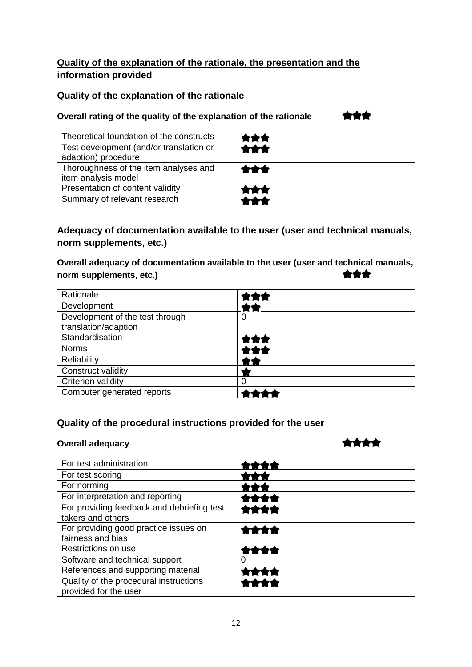## **Quality of the explanation of the rationale, the presentation and the information provided**

## **Quality of the explanation of the rationale**

## **Overall rating of the quality of the explanation of the rationale**

| ç |  |  |
|---|--|--|
|   |  |  |

| Theoretical foundation of the constructs                       |     |
|----------------------------------------------------------------|-----|
| Test development (and/or translation or<br>adaption) procedure | *** |
| Thoroughness of the item analyses and<br>item analysis model   | *** |
| Presentation of content validity                               |     |
| Summary of relevant research                                   |     |

## **Adequacy of documentation available to the user (user and technical manuals, norm supplements, etc.)**

**Overall adequacy of documentation available to the user (user and technical manuals,**  \*\*\* **norm supplements, etc.)**

| Rationale                                               |   |
|---------------------------------------------------------|---|
| Development                                             |   |
| Development of the test through<br>translation/adaption | U |
| Standardisation                                         |   |
| <b>Norms</b>                                            |   |
| Reliability                                             |   |
| Construct validity                                      |   |
| <b>Criterion validity</b>                               |   |
| Computer generated reports                              |   |

## **Quality of the procedural instructions provided for the user**

#### **Overall adequacy**

## \*\*\*\*

| For test administration                    |  |
|--------------------------------------------|--|
| For test scoring                           |  |
| For norming                                |  |
| For interpretation and reporting           |  |
| For providing feedback and debriefing test |  |
| takers and others                          |  |
| For providing good practice issues on      |  |
| fairness and bias                          |  |
| Restrictions on use                        |  |
| Software and technical support             |  |
| References and supporting material         |  |
| Quality of the procedural instructions     |  |
| provided for the user                      |  |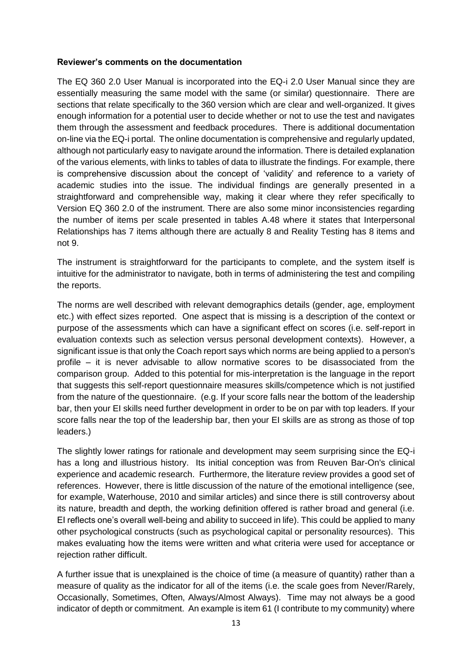#### **Reviewer's comments on the documentation**

The EQ 360 2.0 User Manual is incorporated into the EQ-i 2.0 User Manual since they are essentially measuring the same model with the same (or similar) questionnaire. There are sections that relate specifically to the 360 version which are clear and well-organized. It gives enough information for a potential user to decide whether or not to use the test and navigates them through the assessment and feedback procedures. There is additional documentation on-line via the EQ-i portal. The online documentation is comprehensive and regularly updated, although not particularly easy to navigate around the information. There is detailed explanation of the various elements, with links to tables of data to illustrate the findings. For example, there is comprehensive discussion about the concept of 'validity' and reference to a variety of academic studies into the issue. The individual findings are generally presented in a straightforward and comprehensible way, making it clear where they refer specifically to Version EQ 360 2.0 of the instrument. There are also some minor inconsistencies regarding the number of items per scale presented in tables A.48 where it states that Interpersonal Relationships has 7 items although there are actually 8 and Reality Testing has 8 items and not 9.

The instrument is straightforward for the participants to complete, and the system itself is intuitive for the administrator to navigate, both in terms of administering the test and compiling the reports.

The norms are well described with relevant demographics details (gender, age, employment etc.) with effect sizes reported. One aspect that is missing is a description of the context or purpose of the assessments which can have a significant effect on scores (i.e. self-report in evaluation contexts such as selection versus personal development contexts). However, a significant issue is that only the Coach report says which norms are being applied to a person's profile – it is never advisable to allow normative scores to be disassociated from the comparison group. Added to this potential for mis-interpretation is the language in the report that suggests this self-report questionnaire measures skills/competence which is not justified from the nature of the questionnaire. (e.g. If your score falls near the bottom of the leadership bar, then your EI skills need further development in order to be on par with top leaders. If your score falls near the top of the leadership bar, then your EI skills are as strong as those of top leaders.)

The slightly lower ratings for rationale and development may seem surprising since the EQ-i has a long and illustrious history. Its initial conception was from Reuven Bar-On's clinical experience and academic research. Furthermore, the literature review provides a good set of references. However, there is little discussion of the nature of the emotional intelligence (see, for example, Waterhouse, 2010 and similar articles) and since there is still controversy about its nature, breadth and depth, the working definition offered is rather broad and general (i.e. EI reflects one's overall well-being and ability to succeed in life). This could be applied to many other psychological constructs (such as psychological capital or personality resources). This makes evaluating how the items were written and what criteria were used for acceptance or rejection rather difficult.

A further issue that is unexplained is the choice of time (a measure of quantity) rather than a measure of quality as the indicator for all of the items (i.e. the scale goes from Never/Rarely, Occasionally, Sometimes, Often, Always/Almost Always). Time may not always be a good indicator of depth or commitment. An example is item 61 (I contribute to my community) where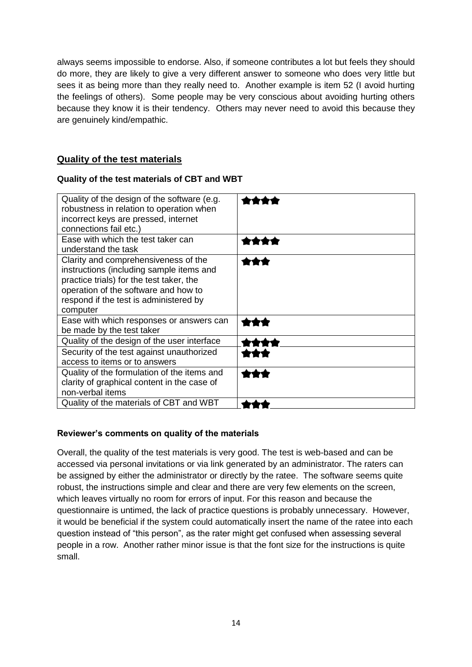always seems impossible to endorse. Also, if someone contributes a lot but feels they should do more, they are likely to give a very different answer to someone who does very little but sees it as being more than they really need to. Another example is item 52 (I avoid hurting the feelings of others). Some people may be very conscious about avoiding hurting others because they know it is their tendency. Others may never need to avoid this because they are genuinely kind/empathic.

## **Quality of the test materials**

## **Quality of the test materials of CBT and WBT**

| Quality of the design of the software (e.g.<br>robustness in relation to operation when<br>incorrect keys are pressed, internet<br>connections fail etc.)                                                                  |  |
|----------------------------------------------------------------------------------------------------------------------------------------------------------------------------------------------------------------------------|--|
| Ease with which the test taker can<br>understand the task                                                                                                                                                                  |  |
| Clarity and comprehensiveness of the<br>instructions (including sample items and<br>practice trials) for the test taker, the<br>operation of the software and how to<br>respond if the test is administered by<br>computer |  |
| Ease with which responses or answers can<br>be made by the test taker                                                                                                                                                      |  |
| Quality of the design of the user interface                                                                                                                                                                                |  |
| Security of the test against unauthorized<br>access to items or to answers                                                                                                                                                 |  |
| Quality of the formulation of the items and<br>clarity of graphical content in the case of<br>non-verbal items                                                                                                             |  |
| Quality of the materials of CBT and WBT                                                                                                                                                                                    |  |

## **Reviewer's comments on quality of the materials**

Overall, the quality of the test materials is very good. The test is web-based and can be accessed via personal invitations or via link generated by an administrator. The raters can be assigned by either the administrator or directly by the ratee. The software seems quite robust, the instructions simple and clear and there are very few elements on the screen, which leaves virtually no room for errors of input. For this reason and because the questionnaire is untimed, the lack of practice questions is probably unnecessary. However, it would be beneficial if the system could automatically insert the name of the ratee into each question instead of "this person", as the rater might get confused when assessing several people in a row. Another rather minor issue is that the font size for the instructions is quite small.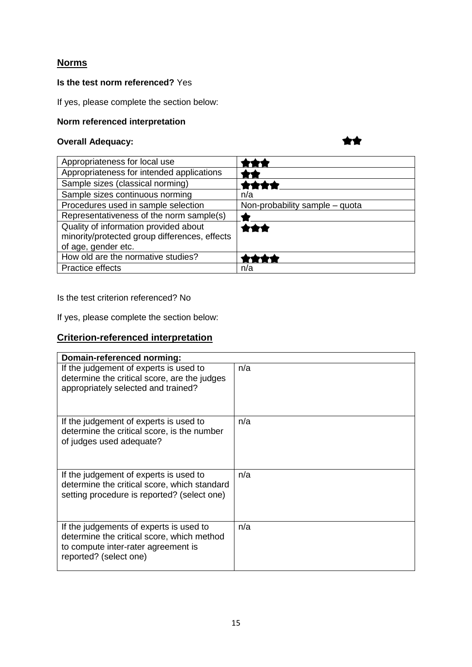## **Norms**

## **Is the test norm referenced?** Yes

If yes, please complete the section below:

## **Norm referenced interpretation**

## **Overall Adequacy:**

\*\*

| Appropriateness for local use                                                                                 |                                |
|---------------------------------------------------------------------------------------------------------------|--------------------------------|
| Appropriateness for intended applications                                                                     |                                |
| Sample sizes (classical norming)                                                                              | ****                           |
| Sample sizes continuous norming                                                                               | n/a                            |
| Procedures used in sample selection                                                                           | Non-probability sample - quota |
| Representativeness of the norm sample(s)                                                                      |                                |
| Quality of information provided about<br>minority/protected group differences, effects<br>of age, gender etc. | ***                            |
| How old are the normative studies?                                                                            |                                |
| Practice effects                                                                                              | n/a                            |

Is the test criterion referenced? No

If yes, please complete the section below:

## **Criterion-referenced interpretation**

| Domain-referenced norming:                                                                                                                             |     |  |
|--------------------------------------------------------------------------------------------------------------------------------------------------------|-----|--|
| If the judgement of experts is used to<br>determine the critical score, are the judges<br>appropriately selected and trained?                          | n/a |  |
| If the judgement of experts is used to<br>determine the critical score, is the number<br>of judges used adequate?                                      | n/a |  |
| If the judgement of experts is used to<br>determine the critical score, which standard<br>setting procedure is reported? (select one)                  | n/a |  |
| If the judgements of experts is used to<br>determine the critical score, which method<br>to compute inter-rater agreement is<br>reported? (select one) | n/a |  |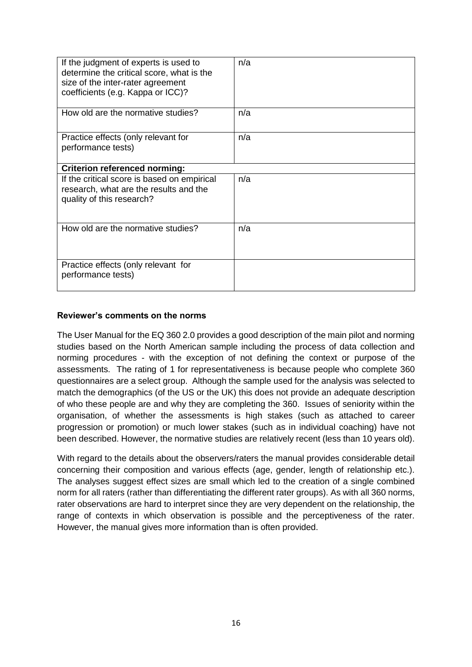| If the judgment of experts is used to<br>determine the critical score, what is the<br>size of the inter-rater agreement<br>coefficients (e.g. Kappa or ICC)? | n/a |  |
|--------------------------------------------------------------------------------------------------------------------------------------------------------------|-----|--|
| How old are the normative studies?                                                                                                                           | n/a |  |
| Practice effects (only relevant for<br>performance tests)                                                                                                    | n/a |  |
| <b>Criterion referenced norming:</b>                                                                                                                         |     |  |
| If the critical score is based on empirical<br>research, what are the results and the<br>quality of this research?                                           | n/a |  |
| How old are the normative studies?                                                                                                                           | n/a |  |
| Practice effects (only relevant for<br>performance tests)                                                                                                    |     |  |

## **Reviewer's comments on the norms**

The User Manual for the EQ 360 2.0 provides a good description of the main pilot and norming studies based on the North American sample including the process of data collection and norming procedures - with the exception of not defining the context or purpose of the assessments. The rating of 1 for representativeness is because people who complete 360 questionnaires are a select group. Although the sample used for the analysis was selected to match the demographics (of the US or the UK) this does not provide an adequate description of who these people are and why they are completing the 360. Issues of seniority within the organisation, of whether the assessments is high stakes (such as attached to career progression or promotion) or much lower stakes (such as in individual coaching) have not been described. However, the normative studies are relatively recent (less than 10 years old).

With regard to the details about the observers/raters the manual provides considerable detail concerning their composition and various effects (age, gender, length of relationship etc.). The analyses suggest effect sizes are small which led to the creation of a single combined norm for all raters (rather than differentiating the different rater groups). As with all 360 norms, rater observations are hard to interpret since they are very dependent on the relationship, the range of contexts in which observation is possible and the perceptiveness of the rater. However, the manual gives more information than is often provided.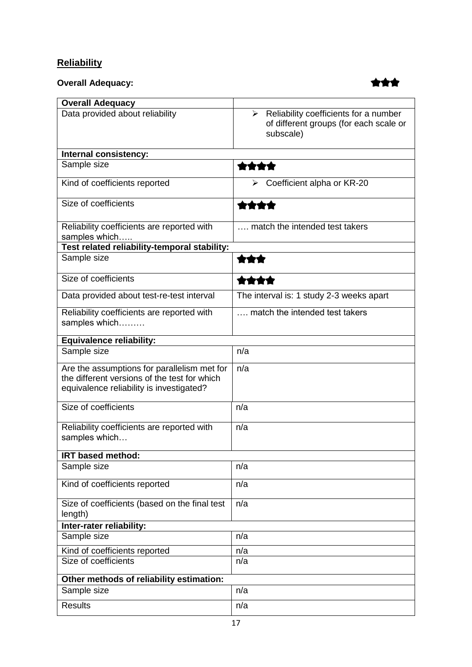## **Reliability**

**Overall Adequacy:**



| <b>Overall Adequacy</b>                                                                                                                 |                                                                                                               |
|-----------------------------------------------------------------------------------------------------------------------------------------|---------------------------------------------------------------------------------------------------------------|
| Data provided about reliability                                                                                                         | $\triangleright$ Reliability coefficients for a number<br>of different groups (for each scale or<br>subscale) |
| Internal consistency:                                                                                                                   |                                                                                                               |
| Sample size                                                                                                                             | ****                                                                                                          |
| Kind of coefficients reported                                                                                                           | Coefficient alpha or KR-20                                                                                    |
| Size of coefficients                                                                                                                    | 黄黄黄黄                                                                                                          |
| Reliability coefficients are reported with<br>samples which                                                                             | match the intended test takers                                                                                |
| Test related reliability-temporal stability:                                                                                            |                                                                                                               |
| Sample size                                                                                                                             | 含含含                                                                                                           |
| Size of coefficients                                                                                                                    | 含含含含                                                                                                          |
| Data provided about test-re-test interval                                                                                               | The interval is: 1 study 2-3 weeks apart                                                                      |
| Reliability coefficients are reported with<br>samples which                                                                             | match the intended test takers                                                                                |
| Equivalence reliability:                                                                                                                |                                                                                                               |
| Sample size                                                                                                                             | n/a                                                                                                           |
| Are the assumptions for parallelism met for<br>the different versions of the test for which<br>equivalence reliability is investigated? | n/a                                                                                                           |
| Size of coefficients                                                                                                                    | n/a                                                                                                           |
| Reliability coefficients are reported with<br>samples which                                                                             | n/a                                                                                                           |
| IRT based method:                                                                                                                       |                                                                                                               |
| Sample size                                                                                                                             | n/a                                                                                                           |
| Kind of coefficients reported                                                                                                           | n/a                                                                                                           |
| Size of coefficients (based on the final test<br>length)                                                                                | n/a                                                                                                           |
| Inter-rater reliability:                                                                                                                |                                                                                                               |
| Sample size                                                                                                                             | n/a                                                                                                           |
| Kind of coefficients reported                                                                                                           | n/a                                                                                                           |
| Size of coefficients                                                                                                                    | n/a                                                                                                           |
| Other methods of reliability estimation:                                                                                                |                                                                                                               |
| Sample size                                                                                                                             | n/a                                                                                                           |
| <b>Results</b>                                                                                                                          | n/a                                                                                                           |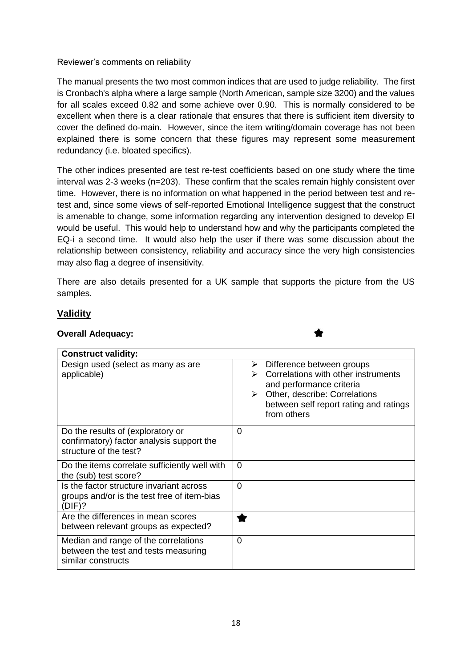Reviewer's comments on reliability

The manual presents the two most common indices that are used to judge reliability. The first is Cronbach's alpha where a large sample (North American, sample size 3200) and the values for all scales exceed 0.82 and some achieve over 0.90. This is normally considered to be excellent when there is a clear rationale that ensures that there is sufficient item diversity to cover the defined do-main. However, since the item writing/domain coverage has not been explained there is some concern that these figures may represent some measurement redundancy (i.e. bloated specifics).

The other indices presented are test re-test coefficients based on one study where the time interval was 2-3 weeks (n=203). These confirm that the scales remain highly consistent over time. However, there is no information on what happened in the period between test and retest and, since some views of self-reported Emotional Intelligence suggest that the construct is amenable to change, some information regarding any intervention designed to develop EI would be useful. This would help to understand how and why the participants completed the EQ-i a second time. It would also help the user if there was some discussion about the relationship between consistency, reliability and accuracy since the very high consistencies may also flag a degree of insensitivity.

There are also details presented for a UK sample that supports the picture from the US samples.

## **Validity**

#### **Overall Adequacy:**

| <b>Construct validity:</b>                                                                               |                                                                                                                                                                                                                 |
|----------------------------------------------------------------------------------------------------------|-----------------------------------------------------------------------------------------------------------------------------------------------------------------------------------------------------------------|
| Design used (select as many as are<br>applicable)                                                        | Difference between groups<br>➤<br>Correlations with other instruments<br>and performance criteria<br>Other, describe: Correlations<br>$\triangleright$<br>between self report rating and ratings<br>from others |
| Do the results of (exploratory or<br>confirmatory) factor analysis support the<br>structure of the test? | 0                                                                                                                                                                                                               |
| Do the items correlate sufficiently well with<br>the (sub) test score?                                   | $\Omega$                                                                                                                                                                                                        |
| Is the factor structure invariant across<br>groups and/or is the test free of item-bias<br>(DIF)?        | 0                                                                                                                                                                                                               |
| Are the differences in mean scores<br>between relevant groups as expected?                               |                                                                                                                                                                                                                 |
| Median and range of the correlations<br>between the test and tests measuring<br>similar constructs       | $\mathbf 0$                                                                                                                                                                                                     |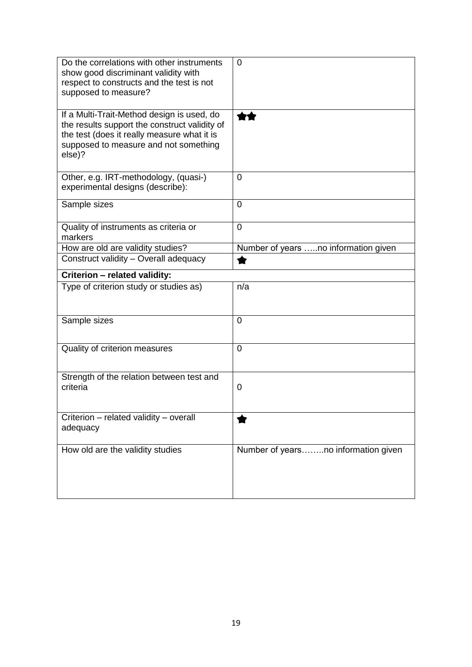| Do the correlations with other instruments<br>show good discriminant validity with<br>respect to constructs and the test is not<br>supposed to measure?                                       | 0                                    |
|-----------------------------------------------------------------------------------------------------------------------------------------------------------------------------------------------|--------------------------------------|
| If a Multi-Trait-Method design is used, do<br>the results support the construct validity of<br>the test (does it really measure what it is<br>supposed to measure and not something<br>else)? |                                      |
| Other, e.g. IRT-methodology, (quasi-)<br>experimental designs (describe):                                                                                                                     | $\overline{0}$                       |
| Sample sizes                                                                                                                                                                                  | 0                                    |
| Quality of instruments as criteria or<br>markers                                                                                                                                              | $\overline{0}$                       |
| How are old are validity studies?                                                                                                                                                             | Number of years no information given |
| Construct validity - Overall adequacy                                                                                                                                                         |                                      |
| Criterion - related validity:                                                                                                                                                                 |                                      |
| Type of criterion study or studies as)                                                                                                                                                        | n/a                                  |
| Sample sizes                                                                                                                                                                                  | $\overline{0}$                       |
| Quality of criterion measures                                                                                                                                                                 | $\overline{0}$                       |
| Strength of the relation between test and<br>criteria                                                                                                                                         | 0                                    |
| Criterion - related validity - overall<br>adequacy                                                                                                                                            |                                      |
| How old are the validity studies                                                                                                                                                              | Number of yearsno information given  |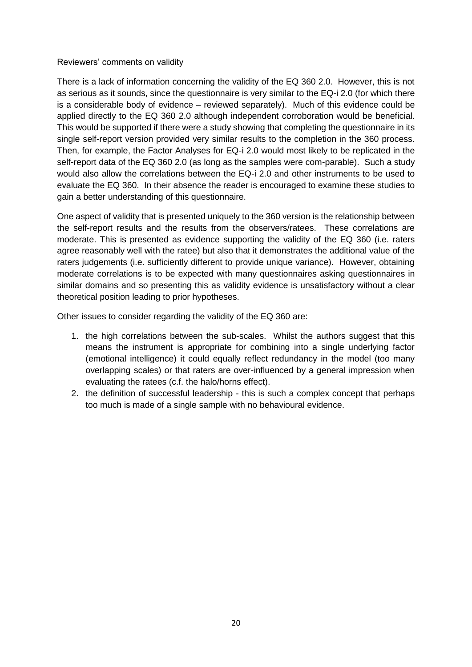#### Reviewers' comments on validity

There is a lack of information concerning the validity of the EQ 360 2.0. However, this is not as serious as it sounds, since the questionnaire is very similar to the EQ-i 2.0 (for which there is a considerable body of evidence – reviewed separately). Much of this evidence could be applied directly to the EQ 360 2.0 although independent corroboration would be beneficial. This would be supported if there were a study showing that completing the questionnaire in its single self-report version provided very similar results to the completion in the 360 process. Then, for example, the Factor Analyses for EQ-i 2.0 would most likely to be replicated in the self-report data of the EQ 360 2.0 (as long as the samples were com-parable). Such a study would also allow the correlations between the EQ-i 2.0 and other instruments to be used to evaluate the EQ 360. In their absence the reader is encouraged to examine these studies to gain a better understanding of this questionnaire.

One aspect of validity that is presented uniquely to the 360 version is the relationship between the self-report results and the results from the observers/ratees. These correlations are moderate. This is presented as evidence supporting the validity of the EQ 360 (i.e. raters agree reasonably well with the ratee) but also that it demonstrates the additional value of the raters judgements (i.e. sufficiently different to provide unique variance). However, obtaining moderate correlations is to be expected with many questionnaires asking questionnaires in similar domains and so presenting this as validity evidence is unsatisfactory without a clear theoretical position leading to prior hypotheses.

Other issues to consider regarding the validity of the EQ 360 are:

- 1. the high correlations between the sub-scales. Whilst the authors suggest that this means the instrument is appropriate for combining into a single underlying factor (emotional intelligence) it could equally reflect redundancy in the model (too many overlapping scales) or that raters are over-influenced by a general impression when evaluating the ratees (c.f. the halo/horns effect).
- 2. the definition of successful leadership this is such a complex concept that perhaps too much is made of a single sample with no behavioural evidence.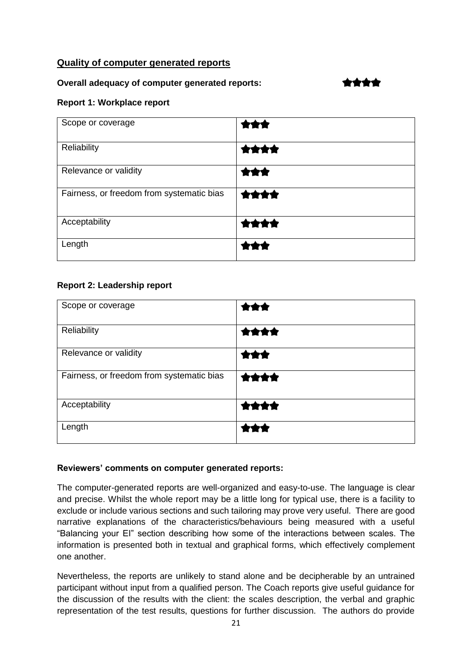## **Quality of computer generated reports**

#### **Overall adequacy of computer generated reports:**

## \*\*\*\*

## **Report 1: Workplace report**

| Scope or coverage                         | ***  |
|-------------------------------------------|------|
| Reliability                               | **** |
| Relevance or validity                     | ***  |
| Fairness, or freedom from systematic bias | **** |
| Acceptability                             | **** |
| Length                                    |      |

## **Report 2: Leadership report**

| Scope or coverage                         | ***  |
|-------------------------------------------|------|
| Reliability                               | **** |
| Relevance or validity                     | 含食食  |
| Fairness, or freedom from systematic bias | 含食食食 |
| Acceptability                             | **** |
| Length                                    |      |

#### **Reviewers' comments on computer generated reports:**

The computer-generated reports are well-organized and easy-to-use. The language is clear and precise. Whilst the whole report may be a little long for typical use, there is a facility to exclude or include various sections and such tailoring may prove very useful. There are good narrative explanations of the characteristics/behaviours being measured with a useful "Balancing your EI" section describing how some of the interactions between scales. The information is presented both in textual and graphical forms, which effectively complement one another.

Nevertheless, the reports are unlikely to stand alone and be decipherable by an untrained participant without input from a qualified person. The Coach reports give useful guidance for the discussion of the results with the client: the scales description, the verbal and graphic representation of the test results, questions for further discussion. The authors do provide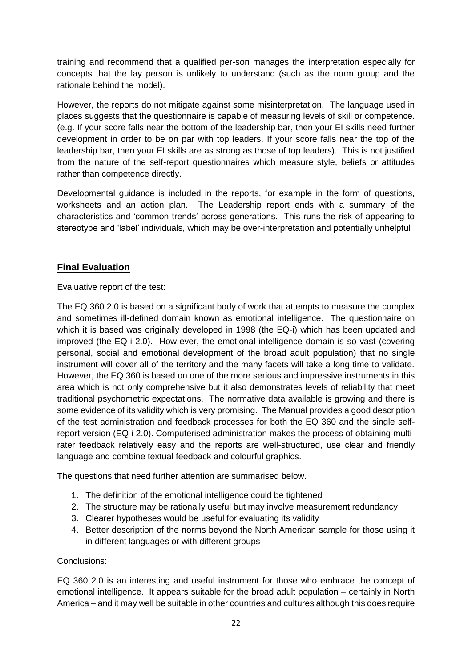training and recommend that a qualified per-son manages the interpretation especially for concepts that the lay person is unlikely to understand (such as the norm group and the rationale behind the model).

However, the reports do not mitigate against some misinterpretation. The language used in places suggests that the questionnaire is capable of measuring levels of skill or competence. (e.g. If your score falls near the bottom of the leadership bar, then your EI skills need further development in order to be on par with top leaders. If your score falls near the top of the leadership bar, then your EI skills are as strong as those of top leaders). This is not justified from the nature of the self-report questionnaires which measure style, beliefs or attitudes rather than competence directly.

Developmental guidance is included in the reports, for example in the form of questions, worksheets and an action plan. The Leadership report ends with a summary of the characteristics and 'common trends' across generations. This runs the risk of appearing to stereotype and 'label' individuals, which may be over-interpretation and potentially unhelpful

## **Final Evaluation**

Evaluative report of the test:

The EQ 360 2.0 is based on a significant body of work that attempts to measure the complex and sometimes ill-defined domain known as emotional intelligence. The questionnaire on which it is based was originally developed in 1998 (the EQ-i) which has been updated and improved (the EQ-i 2.0). How-ever, the emotional intelligence domain is so vast (covering personal, social and emotional development of the broad adult population) that no single instrument will cover all of the territory and the many facets will take a long time to validate. However, the EQ 360 is based on one of the more serious and impressive instruments in this area which is not only comprehensive but it also demonstrates levels of reliability that meet traditional psychometric expectations. The normative data available is growing and there is some evidence of its validity which is very promising. The Manual provides a good description of the test administration and feedback processes for both the EQ 360 and the single selfreport version (EQ-i 2.0). Computerised administration makes the process of obtaining multirater feedback relatively easy and the reports are well-structured, use clear and friendly language and combine textual feedback and colourful graphics.

The questions that need further attention are summarised below.

- 1. The definition of the emotional intelligence could be tightened
- 2. The structure may be rationally useful but may involve measurement redundancy
- 3. Clearer hypotheses would be useful for evaluating its validity
- 4. Better description of the norms beyond the North American sample for those using it in different languages or with different groups

Conclusions:

EQ 360 2.0 is an interesting and useful instrument for those who embrace the concept of emotional intelligence. It appears suitable for the broad adult population – certainly in North America – and it may well be suitable in other countries and cultures although this does require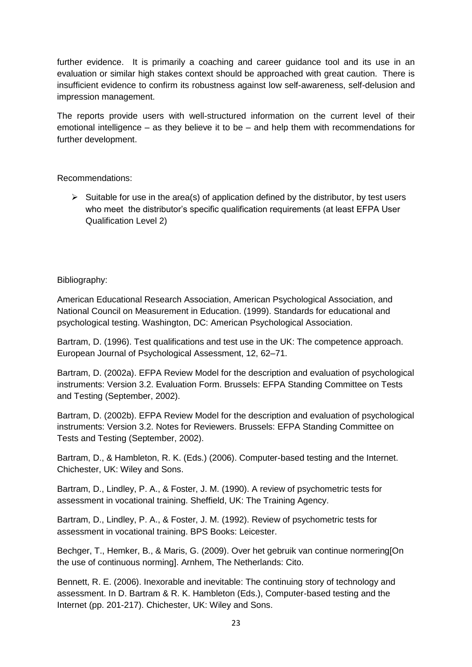further evidence. It is primarily a coaching and career guidance tool and its use in an evaluation or similar high stakes context should be approached with great caution. There is insufficient evidence to confirm its robustness against low self-awareness, self-delusion and impression management.

The reports provide users with well-structured information on the current level of their emotional intelligence – as they believe it to be – and help them with recommendations for further development.

Recommendations:

 $\triangleright$  Suitable for use in the area(s) of application defined by the distributor, by test users who meet the distributor's specific qualification requirements (at least EFPA User Qualification Level 2)

## Bibliography:

American Educational Research Association, American Psychological Association, and National Council on Measurement in Education. (1999). Standards for educational and psychological testing. Washington, DC: American Psychological Association.

Bartram, D. (1996). Test qualifications and test use in the UK: The competence approach. European Journal of Psychological Assessment, 12, 62–71.

Bartram, D. (2002a). EFPA Review Model for the description and evaluation of psychological instruments: Version 3.2. Evaluation Form. Brussels: EFPA Standing Committee on Tests and Testing (September, 2002).

Bartram, D. (2002b). EFPA Review Model for the description and evaluation of psychological instruments: Version 3.2. Notes for Reviewers. Brussels: EFPA Standing Committee on Tests and Testing (September, 2002).

Bartram, D., & Hambleton, R. K. (Eds.) (2006). Computer-based testing and the Internet. Chichester, UK: Wiley and Sons.

Bartram, D., Lindley, P. A., & Foster, J. M. (1990). A review of psychometric tests for assessment in vocational training. Sheffield, UK: The Training Agency.

Bartram, D., Lindley, P. A., & Foster, J. M. (1992). Review of psychometric tests for assessment in vocational training. BPS Books: Leicester.

Bechger, T., Hemker, B., & Maris, G. (2009). Over het gebruik van continue normering[On the use of continuous norming]. Arnhem, The Netherlands: Cito.

Bennett, R. E. (2006). Inexorable and inevitable: The continuing story of technology and assessment. In D. Bartram & R. K. Hambleton (Eds.), Computer-based testing and the Internet (pp. 201-217). Chichester, UK: Wiley and Sons.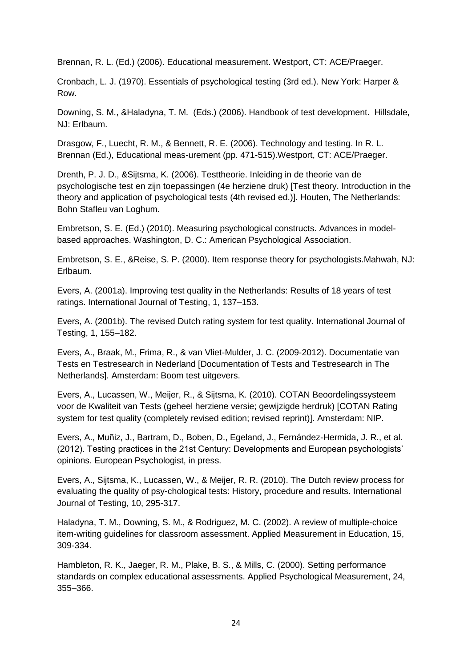Brennan, R. L. (Ed.) (2006). Educational measurement. Westport, CT: ACE/Praeger.

Cronbach, L. J. (1970). Essentials of psychological testing (3rd ed.). New York: Harper & Row.

Downing, S. M., &Haladyna, T. M. (Eds.) (2006). Handbook of test development. Hillsdale, NJ: Erlbaum.

Drasgow, F., Luecht, R. M., & Bennett, R. E. (2006). Technology and testing. In R. L. Brennan (Ed.), Educational meas-urement (pp. 471-515).Westport, CT: ACE/Praeger.

Drenth, P. J. D., &Sijtsma, K. (2006). Testtheorie. Inleiding in de theorie van de psychologische test en zijn toepassingen (4e herziene druk) [Test theory. Introduction in the theory and application of psychological tests (4th revised ed.)]. Houten, The Netherlands: Bohn Stafleu van Loghum.

Embretson, S. E. (Ed.) (2010). Measuring psychological constructs. Advances in modelbased approaches. Washington, D. C.: American Psychological Association.

Embretson, S. E., &Reise, S. P. (2000). Item response theory for psychologists.Mahwah, NJ: Erlbaum.

Evers, A. (2001a). Improving test quality in the Netherlands: Results of 18 years of test ratings. International Journal of Testing, 1, 137–153.

Evers, A. (2001b). The revised Dutch rating system for test quality. International Journal of Testing, 1, 155–182.

Evers, A., Braak, M., Frima, R., & van Vliet-Mulder, J. C. (2009-2012). Documentatie van Tests en Testresearch in Nederland [Documentation of Tests and Testresearch in The Netherlands]. Amsterdam: Boom test uitgevers.

Evers, A., Lucassen, W., Meijer, R., & Sijtsma, K. (2010). COTAN Beoordelingssysteem voor de Kwaliteit van Tests (geheel herziene versie; gewijzigde herdruk) [COTAN Rating system for test quality (completely revised edition; revised reprint)]. Amsterdam: NIP.

Evers, A., Muñiz, J., Bartram, D., Boben, D., Egeland, J., Fernández-Hermida, J. R., et al. (2012). Testing practices in the 21st Century: Developments and European psychologists' opinions. European Psychologist, in press.

Evers, A., Sijtsma, K., Lucassen, W., & Meijer, R. R. (2010). The Dutch review process for evaluating the quality of psy-chological tests: History, procedure and results. International Journal of Testing, 10, 295-317.

Haladyna, T. M., Downing, S. M., & Rodriguez, M. C. (2002). A review of multiple-choice item-writing guidelines for classroom assessment. Applied Measurement in Education, 15, 309-334.

Hambleton, R. K., Jaeger, R. M., Plake, B. S., & Mills, C. (2000). Setting performance standards on complex educational assessments. Applied Psychological Measurement, 24, 355–366.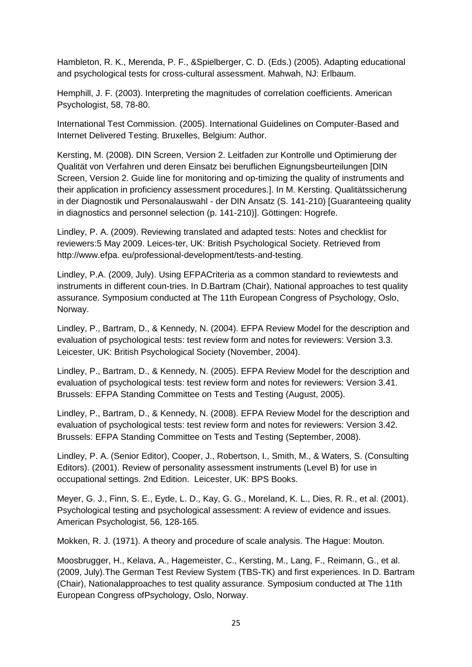Hambleton, R. K., Merenda, P. F., &Spielberger, C. D. (Eds.) (2005). Adapting educational and psychological tests for cross-cultural assessment. Mahwah, NJ: Erlbaum.

Hemphill, J. F. (2003). Interpreting the magnitudes of correlation coefficients. American Psychologist, 58, 78-80.

International Test Commission. (2005). International Guidelines on Computer-Based and Internet Delivered Testing. Bruxelles, Belgium: Author.

Kersting, M. (2008). DIN Screen, Version 2. Leitfaden zur Kontrolle und Optimierung der Qualität von Verfahren und deren Einsatz bei beruflichen Eignungsbeurteilungen [DIN Screen, Version 2. Guide line for monitoring and op-timizing the quality of instruments and their application in proficiency assessment procedures.]. In M. Kersting. Qualitätssicherung in der Diagnostik und Personalauswahl - der DIN Ansatz (S. 141-210) [Guaranteeing quality in diagnostics and personnel selection (p. 141-210)]. Göttingen: Hogrefe.

Lindley, P. A. (2009). Reviewing translated and adapted tests: Notes and checklist for reviewers:5 May 2009. Leices-ter, UK: British Psychological Society. Retrieved from http://www.efpa. eu/professional-development/tests-and-testing.

Lindley, P.A. (2009, July). Using EFPACriteria as a common standard to reviewtests and instruments in different coun-tries. In D.Bartram (Chair), National approaches to test quality assurance. Symposium conducted at The 11th European Congress of Psychology, Oslo, Norway.

Lindley, P., Bartram, D., & Kennedy, N. (2004). EFPA Review Model for the description and evaluation of psychological tests: test review form and notes for reviewers: Version 3.3. Leicester, UK: British Psychological Society (November, 2004).

Lindley, P., Bartram, D., & Kennedy, N. (2005). EFPA Review Model for the description and evaluation of psychological tests: test review form and notes for reviewers: Version 3.41. Brussels: EFPA Standing Committee on Tests and Testing (August, 2005).

Lindley, P., Bartram, D., & Kennedy, N. (2008). EFPA Review Model for the description and evaluation of psychological tests: test review form and notes for reviewers: Version 3.42. Brussels: EFPA Standing Committee on Tests and Testing (September, 2008).

Lindley, P. A. (Senior Editor), Cooper, J., Robertson, I., Smith, M., & Waters, S. (Consulting Editors). (2001). Review of personality assessment instruments (Level B) for use in occupational settings. 2nd Edition. Leicester, UK: BPS Books.

Meyer, G. J., Finn, S. E., Eyde, L. D., Kay, G. G., Moreland, K. L., Dies, R. R., et al. (2001). Psychological testing and psychological assessment: A review of evidence and issues. American Psychologist, 56, 128-165.

Mokken, R. J. (1971). A theory and procedure of scale analysis. The Hague: Mouton.

Moosbrugger, H., Kelava, A., Hagemeister, C., Kersting, M., Lang, F., Reimann, G., et al. (2009, July).The German Test Review System (TBS-TK) and first experiences. In D. Bartram (Chair), Nationalapproaches to test quality assurance. Symposium conducted at The 11th European Congress ofPsychology, Oslo, Norway.